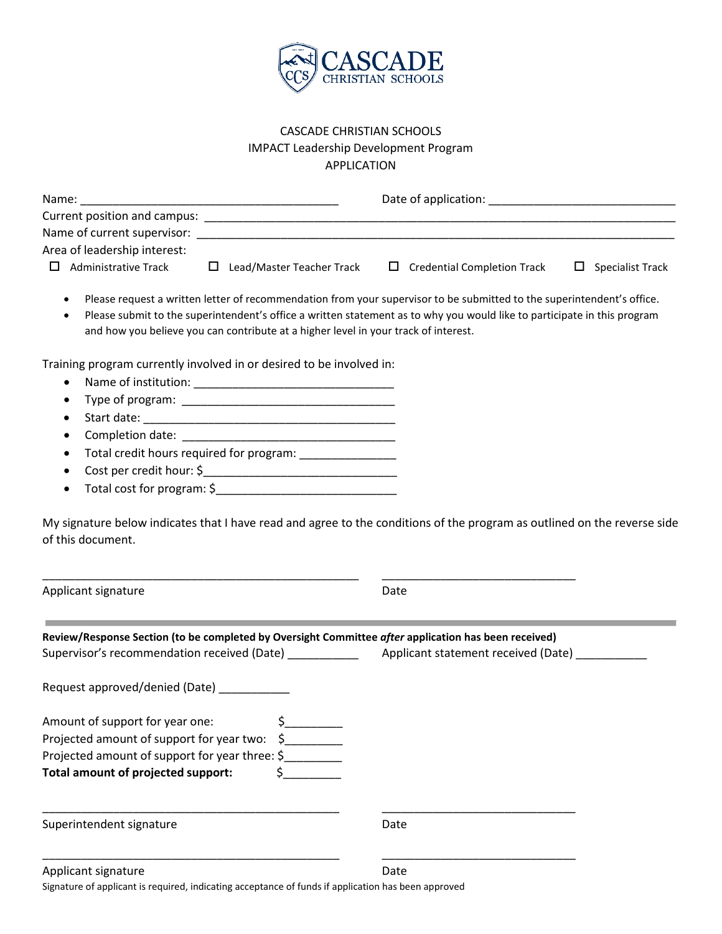

## CASCADE CHRISTIAN SCHOOLS IMPACT Leadership Development Program APPLICATION

| Name:                        |                           | Date of application:               |                         |
|------------------------------|---------------------------|------------------------------------|-------------------------|
| Current position and campus: |                           |                                    |                         |
| Name of current supervisor:  |                           |                                    |                         |
| Area of leadership interest: |                           |                                    |                         |
| Administrative Track<br>П.   | Lead/Master Teacher Track | $\Box$ Credential Completion Track | $\Box$ Specialist Track |

- Please request a written letter of recommendation from your supervisor to be submitted to the superintendent's office.
- Please submit to the superintendent's office a written statement as to why you would like to participate in this program and how you believe you can contribute at a higher level in your track of interest.

Training program currently involved in or desired to be involved in:

- Name of institution: \_\_\_\_\_\_\_\_\_\_\_\_\_\_\_\_\_\_\_\_\_\_\_\_\_\_\_\_\_\_\_
- Type of program: \_\_\_\_\_\_\_\_\_\_\_\_\_\_\_\_\_\_\_\_\_\_\_\_\_\_\_\_\_\_\_\_\_
- Start date: \_\_\_\_\_\_\_\_\_\_\_\_\_\_\_\_\_\_\_\_\_\_\_\_\_\_\_\_\_\_\_\_\_\_\_\_\_\_\_
- Completion date: \_\_\_\_\_\_\_\_\_\_\_\_\_\_\_\_\_\_\_\_\_\_\_\_\_\_\_\_\_\_\_\_\_
- Total credit hours required for program: \_\_\_\_\_\_\_\_\_\_\_\_\_\_\_
- Cost per credit hour: \$\_\_\_\_\_\_\_\_\_\_\_\_\_\_\_\_\_\_\_\_\_\_\_\_\_\_\_\_\_\_
- Total cost for program: \$\_\_\_\_\_\_\_\_\_\_\_\_\_\_\_\_\_\_\_\_\_\_\_\_\_\_\_\_

My signature below indicates that I have read and agree to the conditions of the program as outlined on the reverse side of this document.

\_\_\_\_\_\_\_\_\_\_\_\_\_\_\_\_\_\_\_\_\_\_\_\_\_\_\_\_\_\_\_\_\_\_\_\_\_\_\_\_\_\_\_\_\_\_\_\_\_ \_\_\_\_\_\_\_\_\_\_\_\_\_\_\_\_\_\_\_\_\_\_\_\_\_\_\_\_\_\_

Applicant signature Date

| Review/Response Section (to be completed by Oversight Committee after application has been received) |                                     |  |
|------------------------------------------------------------------------------------------------------|-------------------------------------|--|
| Supervisor's recommendation received (Date)                                                          | Applicant statement received (Date) |  |
| Request approved/denied (Date)                                                                       |                                     |  |
| Amount of support for year one:                                                                      |                                     |  |
| Projected amount of support for year two: \$                                                         |                                     |  |
| Projected amount of support for year three: \$                                                       |                                     |  |
| Total amount of projected support:                                                                   |                                     |  |
| Superintendent signature                                                                             | Date                                |  |
|                                                                                                      |                                     |  |
| Applicant signature                                                                                  | Date                                |  |